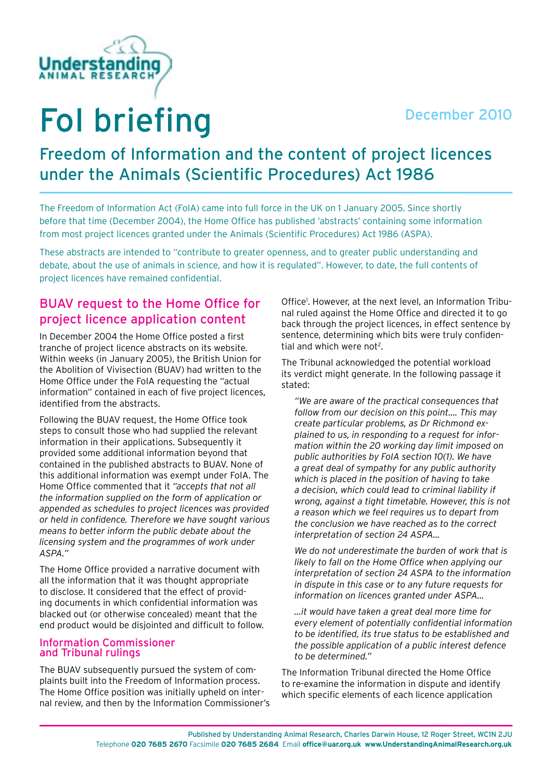



# FoI briefing

# Freedom of Information and the content of project licences under the Animals (Scientific Procedures) Act 1986

The Freedom of Information Act (FoIA) came into full force in the UK on 1 January 2005. Since shortly before that time (December 2004), the Home Office has published 'abstracts' containing some information from most project licences granted under the Animals (Scientific Procedures) Act 1986 (ASPA).

These abstracts are intended to "contribute to greater openness, and to greater public understanding and debate, about the use of animals in science, and how it is regulated". However, to date, the full contents of project licences have remained confidential.

## BUAV request to the Home Office for project licence application content

In December 2004 the Home Office posted a first tranche of project licence abstracts on its website. Within weeks (in January 2005), the British Union for the Abolition of Vivisection (BUAV) had written to the Home Office under the FoIA requesting the "actual information" contained in each of five project licences, identified from the abstracts.

Following the BUAV request, the Home Office took steps to consult those who had supplied the relevant information in their applications. Subsequently it provided some additional information beyond that contained in the published abstracts to BUAV. None of this additional information was exempt under FoIA. The Home Office commented that it *"accepts that not all the information supplied on the form of application or appended as schedules to project licences was provided or held in confidence. Therefore we have sought various means to better inform the public debate about the licensing system and the programmes of work under ASPA."*

The Home Office provided a narrative document with all the information that it was thought appropriate to disclose. It considered that the effect of providing documents in which confidential information was blacked out (or otherwise concealed) meant that the end product would be disjointed and difficult to follow.

#### Information Commissioner and Tribunal rulings

The BUAV subsequently pursued the system of complaints built into the Freedom of Information process. The Home Office position was initially upheld on internal review, and then by the Information Commissioner's Office<sup>1</sup>. However, at the next level, an Information Tribunal ruled against the Home Office and directed it to go back through the project licences, in effect sentence by sentence, determining which bits were truly confidential and which were not<sup>2</sup>.

The Tribunal acknowledged the potential workload its verdict might generate. In the following passage it stated:

*"We are aware of the practical consequences that follow from our decision on this point…. This may create particular problems, as Dr Richmond explained to us, in responding to a request for information within the 20 working day limit imposed on public authorities by FoIA section 10(1). We have a great deal of sympathy for any public authority which is placed in the position of having to take a decision, which could lead to criminal liability if wrong, against a tight timetable. However, this is not a reason which we feel requires us to depart from the conclusion we have reached as to the correct interpretation of section 24 ASPA…*

*We do not underestimate the burden of work that is likely to fall on the Home Office when applying our interpretation of section 24 ASPA to the information in dispute in this case or to any future requests for information on licences granted under ASPA…*

*…it would have taken a great deal more time for every element of potentially confidential information to be identified, its true status to be established and the possible application of a public interest defence to be determined."*

The Information Tribunal directed the Home Office to re-examine the information in dispute and identify which specific elements of each licence application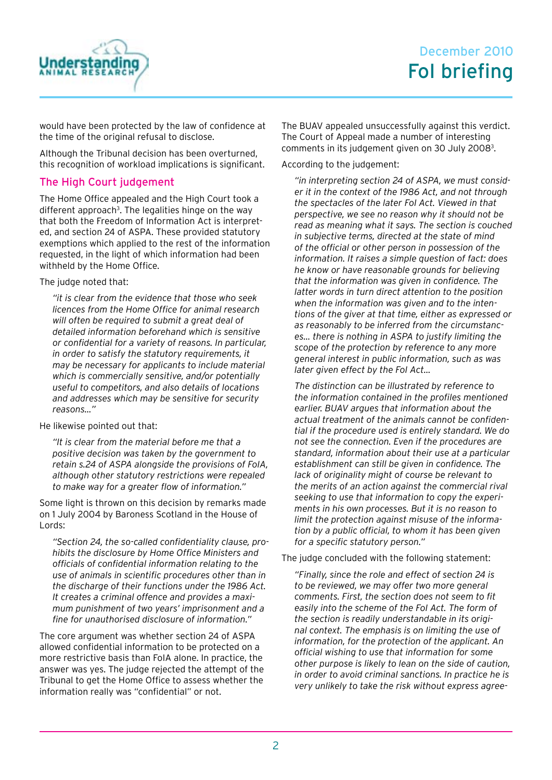

would have been protected by the law of confidence at the time of the original refusal to disclose.

Although the Tribunal decision has been overturned, this recognition of workload implications is significant.

## The High Court judgement

The Home Office appealed and the High Court took a different approach<sup>3</sup>. The legalities hinge on the way that both the Freedom of Information Act is interpreted, and section 24 of ASPA. These provided statutory exemptions which applied to the rest of the information requested, in the light of which information had been withheld by the Home Office.

The judge noted that:

*"it is clear from the evidence that those who seek licences from the Home Office for animal research will often be required to submit a great deal of detailed information beforehand which is sensitive or confidential for a variety of reasons. In particular, in order to satisfy the statutory requirements, it may be necessary for applicants to include material which is commercially sensitive, and/or potentially useful to competitors, and also details of locations and addresses which may be sensitive for security reasons…"*

He likewise pointed out that:

*"It is clear from the material before me that a positive decision was taken by the government to retain s.24 of ASPA alongside the provisions of FoIA, although other statutory restrictions were repealed to make way for a greater flow of information."* 

Some light is thrown on this decision by remarks made on 1 July 2004 by Baroness Scotland in the House of Lords:

*"Section 24, the so-called confidentiality clause, prohibits the disclosure by Home Office Ministers and officials of confidential information relating to the use of animals in scientific procedures other than in the discharge of their functions under the 1986 Act. It creates a criminal offence and provides a maximum punishment of two years' imprisonment and a fine for unauthorised disclosure of information."*

The core argument was whether section 24 of ASPA allowed confidential information to be protected on a more restrictive basis than FoIA alone. In practice, the answer was yes. The judge rejected the attempt of the Tribunal to get the Home Office to assess whether the information really was "confidential" or not.

The BUAV appealed unsuccessfully against this verdict. The Court of Appeal made a number of interesting comments in its judgement given on 30 July 2008<sup>3</sup>.

According to the judgement:

*"in interpreting section 24 of ASPA, we must consider it in the context of the 1986 Act, and not through the spectacles of the later FoI Act. Viewed in that perspective, we see no reason why it should not be read as meaning what it says. The section is couched in subjective terms, directed at the state of mind of the official or other person in possession of the information. It raises a simple question of fact: does he know or have reasonable grounds for believing that the information was given in confidence. The latter words in turn direct attention to the position when the information was given and to the intentions of the giver at that time, either as expressed or as reasonably to be inferred from the circumstances… there is nothing in ASPA to justify limiting the scope of the protection by reference to any more general interest in public information, such as was later given effect by the FoI Act…*

*The distinction can be illustrated by reference to the information contained in the profiles mentioned earlier. BUAV argues that information about the actual treatment of the animals cannot be confidential if the procedure used is entirely standard. We do not see the connection. Even if the procedures are standard, information about their use at a particular establishment can still be given in confidence. The lack of originality might of course be relevant to the merits of an action against the commercial rival seeking to use that information to copy the experiments in his own processes. But it is no reason to limit the protection against misuse of the information by a public official, to whom it has been given for a specific statutory person."*

The judge concluded with the following statement:

*"Finally, since the role and effect of section 24 is to be reviewed, we may offer two more general comments. First, the section does not seem to fit easily into the scheme of the FoI Act. The form of the section is readily understandable in its original context. The emphasis is on limiting the use of information, for the protection of the applicant. An official wishing to use that information for some other purpose is likely to lean on the side of caution, in order to avoid criminal sanctions. In practice he is very unlikely to take the risk without express agree-*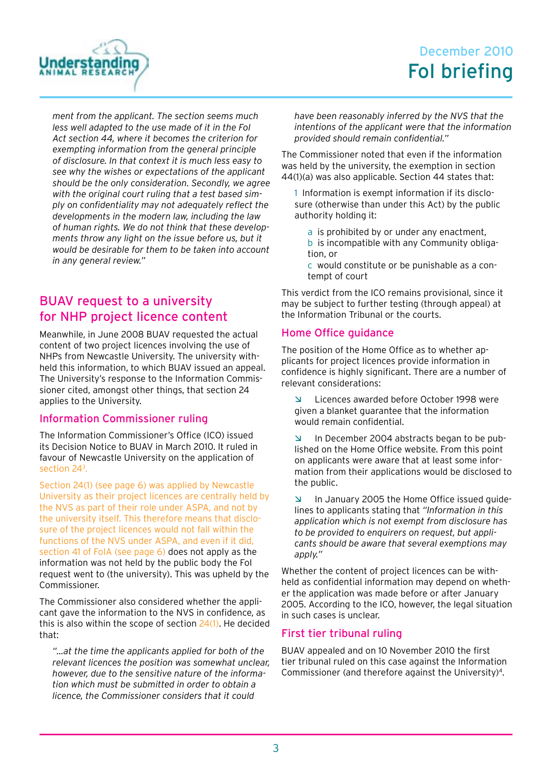

# December 2010 FoI briefing

*ment from the applicant. The section seems much less well adapted to the use made of it in the FoI Act section 44, where it becomes the criterion for exempting information from the general principle of disclosure. In that context it is much less easy to see why the wishes or expectations of the applicant should be the only consideration. Secondly, we agree with the original court ruling that a test based simply on confidentiality may not adequately reflect the developments in the modern law, including the law of human rights. We do not think that these developments throw any light on the issue before us, but it would be desirable for them to be taken into account in any general review."*

## BUAV request to a university for NHP project licence content

Meanwhile, in June 2008 BUAV requested the actual content of two project licences involving the use of NHPs from Newcastle University. The university withheld this information, to which BUAV issued an appeal. The University's response to the Information Commissioner cited, amongst other things, that section 24 applies to the University.

#### Information Commissioner ruling

The Information Commissioner's Office (ICO) issued its Decision Notice to BUAV in March 2010. It ruled in favour of Newcastle University on the application of section 243 .

Section 24(1) (see page 6) was applied by Newcastle University as their project licences are centrally held by the NVS as part of their role under ASPA, and not by the university itself. This therefore means that disclosure of the project licences would not fall within the functions of the NVS under ASPA, and even if it did, section 41 of FoIA (see page 6) does not apply as the information was not held by the public body the FoI request went to (the university). This was upheld by the Commissioner.

The Commissioner also considered whether the applicant gave the information to the NVS in confidence, as this is also within the scope of section 24(1). He decided that:

*"…at the time the applicants applied for both of the relevant licences the position was somewhat unclear, however, due to the sensitive nature of the information which must be submitted in order to obtain a licence, the Commissioner considers that it could* 

*have been reasonably inferred by the NVS that the intentions of the applicant were that the information provided should remain confidential."*

The Commissioner noted that even if the information was held by the university, the exemption in section 44(1)(a) was also applicable. Section 44 states that:

1 Information is exempt information if its disclosure (otherwise than under this Act) by the public authority holding it:

- a is prohibited by or under any enactment,
- b is incompatible with any Community obligation, or
- c would constitute or be punishable as a contempt of court

This verdict from the ICO remains provisional, since it may be subject to further testing (through appeal) at the Information Tribunal or the courts.

#### Home Office guidance

The position of the Home Office as to whether applicants for project licences provide information in confidence is highly significant. There are a number of relevant considerations:

Ì Licences awarded before October 1998 were given a blanket guarantee that the information would remain confidential.

In December 2004 abstracts began to be published on the Home Office website. From this point on applicants were aware that at least some information from their applications would be disclosed to the public.

 $\blacksquare$  In January 2005 the Home Office issued guidelines to applicants stating that *"Information in this application which is not exempt from disclosure has to be provided to enquirers on request, but applicants should be aware that several exemptions may apply."*

Whether the content of project licences can be withheld as confidential information may depend on whether the application was made before or after January 2005. According to the ICO, however, the legal situation in such cases is unclear.

#### First tier tribunal ruling

BUAV appealed and on 10 November 2010 the first tier tribunal ruled on this case against the Information Commissioner (and therefore against the University)4.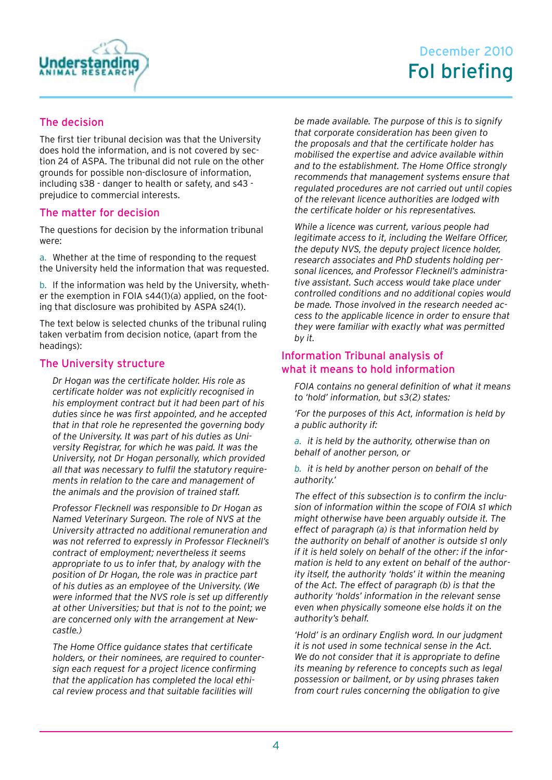

### The decision

The first tier tribunal decision was that the University does hold the information, and is not covered by section 24 of ASPA. The tribunal did not rule on the other grounds for possible non-disclosure of information, including s38 - danger to health or safety, and s43 prejudice to commercial interests.

#### The matter for decision

The questions for decision by the information tribunal were:

a. Whether at the time of responding to the request the University held the information that was requested.

b. If the information was held by the University, whether the exemption in FOIA s44(1)(a) applied, on the footing that disclosure was prohibited by ASPA s24(1).

The text below is selected chunks of the tribunal ruling taken verbatim from decision notice, (apart from the headings):

#### The University structure

*Dr Hogan was the certificate holder. His role as certificate holder was not explicitly recognised in his employment contract but it had been part of his duties since he was first appointed, and he accepted that in that role he represented the governing body of the University. It was part of his duties as University Registrar, for which he was paid. It was the University, not Dr Hogan personally, which provided all that was necessary to fulfil the statutory requirements in relation to the care and management of the animals and the provision of trained staff.*

*Professor Flecknell was responsible to Dr Hogan as Named Veterinary Surgeon. The role of NVS at the University attracted no additional remuneration and was not referred to expressly in Professor Flecknell's contract of employment; nevertheless it seems appropriate to us to infer that, by analogy with the position of Dr Hogan, the role was in practice part of his duties as an employee of the University. (We were informed that the NVS role is set up differently at other Universities; but that is not to the point; we are concerned only with the arrangement at Newcastle.)*

*The Home Office guidance states that certificate holders, or their nominees, are required to countersign each request for a project licence confirming that the application has completed the local ethical review process and that suitable facilities will* 

*be made available. The purpose of this is to signify that corporate consideration has been given to the proposals and that the certificate holder has mobilised the expertise and advice available within and to the establishment. The Home Office strongly recommends that management systems ensure that regulated procedures are not carried out until copies of the relevant licence authorities are lodged with the certificate holder or his representatives.*

*While a licence was current, various people had legitimate access to it, including the Welfare Officer, the deputy NVS, the deputy project licence holder, research associates and PhD students holding personal licences, and Professor Flecknell's administrative assistant. Such access would take place under controlled conditions and no additional copies would be made. Those involved in the research needed access to the applicable licence in order to ensure that they were familiar with exactly what was permitted by it.*

#### Information Tribunal analysis of what it means to hold information

*FOIA contains no general definition of what it means to 'hold' information, but s3(2) states:*

*'For the purposes of this Act, information is held by a public authority if:*

*a. it is held by the authority, otherwise than on behalf of another person, or*

*b. it is held by another person on behalf of the authority.'*

*The effect of this subsection is to confirm the inclusion of information within the scope of FOIA s1 which might otherwise have been arguably outside it. The effect of paragraph (a) is that information held by the authority on behalf of another is outside s1 only if it is held solely on behalf of the other: if the information is held to any extent on behalf of the authority itself, the authority 'holds' it within the meaning of the Act. The effect of paragraph (b) is that the authority 'holds' information in the relevant sense even when physically someone else holds it on the authority's behalf.*

*'Hold' is an ordinary English word. In our judgment it is not used in some technical sense in the Act. We do not consider that it is appropriate to define its meaning by reference to concepts such as legal possession or bailment, or by using phrases taken from court rules concerning the obligation to give*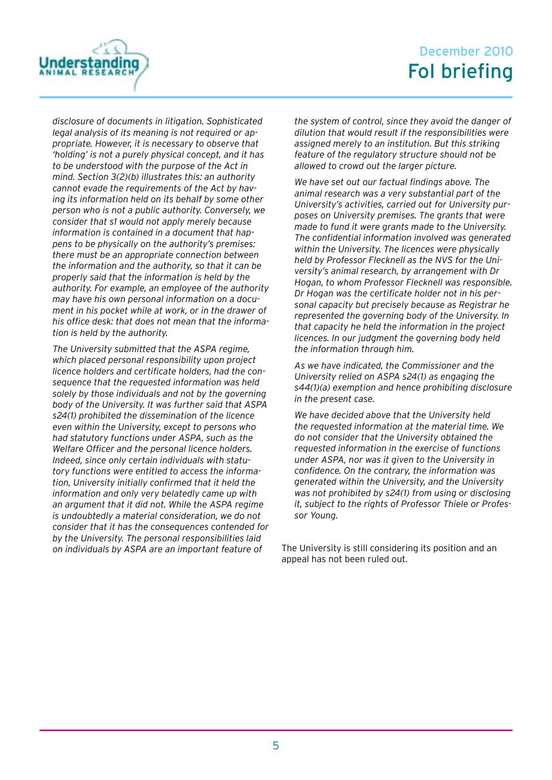

# December 2010 FoI briefing

*disclosure of documents in litigation. Sophisticated legal analysis of its meaning is not required or appropriate. However, it is necessary to observe that 'holding' is not a purely physical concept, and it has to be understood with the purpose of the Act in mind. Section 3(2)(b) illustrates this: an authority cannot evade the requirements of the Act by having its information held on its behalf by some other person who is not a public authority. Conversely, we consider that s1 would not apply merely because information is contained in a document that happens to be physically on the authority's premises: there must be an appropriate connection between the information and the authority, so that it can be properly said that the information is held by the authority. For example, an employee of the authority may have his own personal information on a document in his pocket while at work, or in the drawer of his office desk: that does not mean that the information is held by the authority.*

*The University submitted that the ASPA regime, which placed personal responsibility upon project licence holders and certificate holders, had the consequence that the requested information was held solely by those individuals and not by the governing body of the University. It was further said that ASPA s24(1) prohibited the dissemination of the licence even within the University, except to persons who had statutory functions under ASPA, such as the Welfare Officer and the personal licence holders. Indeed, since only certain individuals with statutory functions were entitled to access the information, University initially confirmed that it held the information and only very belatedly came up with an argument that it did not. While the ASPA regime is undoubtedly a material consideration, we do not consider that it has the consequences contended for by the University. The personal responsibilities laid on individuals by ASPA are an important feature of* 

*the system of control, since they avoid the danger of dilution that would result if the responsibilities were assigned merely to an institution. But this striking feature of the regulatory structure should not be allowed to crowd out the larger picture.*

*We have set out our factual findings above. The animal research was a very substantial part of the University's activities, carried out for University purposes on University premises. The grants that were made to fund it were grants made to the University. The confidential information involved was generated within the University. The licences were physically held by Professor Flecknell as the NVS for the University's animal research, by arrangement with Dr Hogan, to whom Professor Flecknell was responsible. Dr Hogan was the certificate holder not in his personal capacity but precisely because as Registrar he represented the governing body of the University. In that capacity he held the information in the project licences. In our judgment the governing body held the information through him.*

*As we have indicated, the Commissioner and the University relied on ASPA s24(1) as engaging the s44(1)(a) exemption and hence prohibiting disclosure in the present case.*

*We have decided above that the University held the requested information at the material time. We do not consider that the University obtained the requested information in the exercise of functions under ASPA, nor was it given to the University in confidence. On the contrary, the information was generated within the University, and the University was not prohibited by s24(1) from using or disclosing it, subject to the rights of Professor Thiele or Professor Young.*

The University is still considering its position and an appeal has not been ruled out.